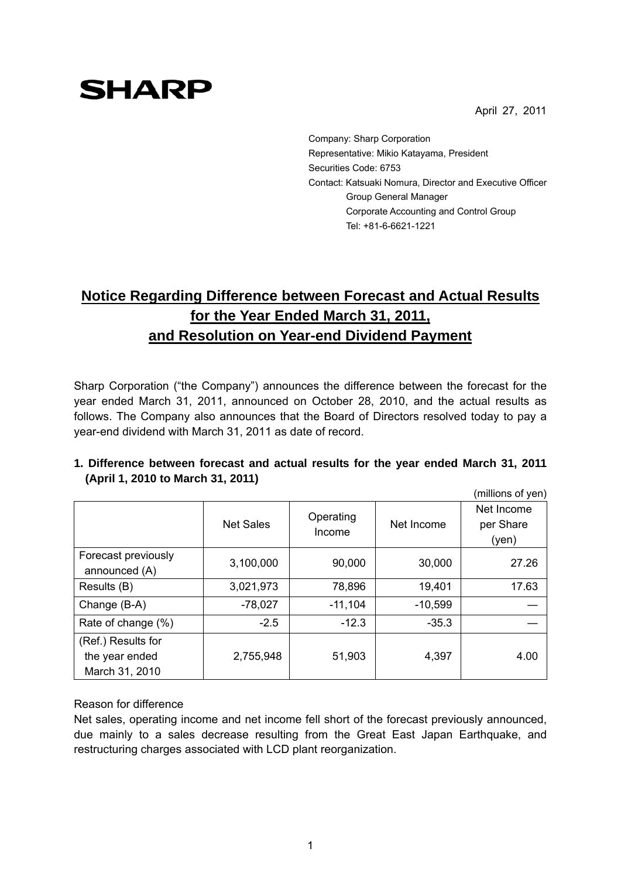April 27, 2011

# **SHARP**

Company: Sharp Corporation Representative: Mikio Katayama, President Securities Code: 6753 Contact: Katsuaki Nomura, Director and Executive Officer Group General Manager Corporate Accounting and Control Group Tel: +81-6-6621-1221

## **Notice Regarding Difference between Forecast and Actual Results for the Year Ended March 31, 2011, and Resolution on Year-end Dividend Payment**

Sharp Corporation ("the Company") announces the difference between the forecast for the year ended March 31, 2011, announced on October 28, 2010, and the actual results as follows. The Company also announces that the Board of Directors resolved today to pay a year-end dividend with March 31, 2011 as date of record.

|                                                        |                  |                     |            | (millions of yen)                |
|--------------------------------------------------------|------------------|---------------------|------------|----------------------------------|
|                                                        | <b>Net Sales</b> | Operating<br>Income | Net Income | Net Income<br>per Share<br>(yen) |
| Forecast previously<br>announced (A)                   | 3,100,000        | 90,000              | 30,000     | 27.26                            |
| Results (B)                                            | 3,021,973        | 78,896              | 19,401     | 17.63                            |
| Change (B-A)                                           | $-78,027$        | $-11,104$           | $-10,599$  |                                  |
| Rate of change (%)                                     | $-2.5$           | $-12.3$             | $-35.3$    |                                  |
| (Ref.) Results for<br>the year ended<br>March 31, 2010 | 2,755,948        | 51,903              | 4,397      | 4.00                             |

### **1. Difference between forecast and actual results for the year ended March 31, 2011 (April 1, 2010 to March 31, 2011)**

#### Reason for difference

Net sales, operating income and net income fell short of the forecast previously announced, due mainly to a sales decrease resulting from the Great East Japan Earthquake, and restructuring charges associated with LCD plant reorganization.